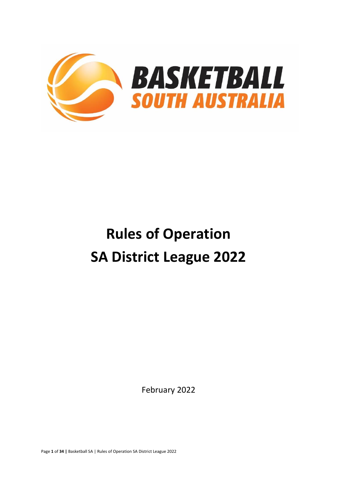

# **Rules of Operation SA District League 2022**

February 2022

Page **1** of **34 |** Basketball SA | Rules of Operation SA District League 2022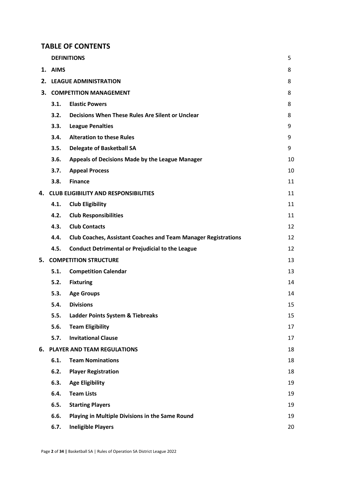## **TABLE OF CONTENTS**

|    |         | <b>DEFINITIONS</b>                                                    | 5  |
|----|---------|-----------------------------------------------------------------------|----|
|    | 1. AIMS |                                                                       | 8  |
|    |         | 2. LEAGUE ADMINISTRATION                                              | 8  |
| 3. |         | <b>COMPETITION MANAGEMENT</b>                                         | 8  |
|    | 3.1.    | <b>Elastic Powers</b>                                                 | 8  |
|    | 3.2.    | Decisions When These Rules Are Silent or Unclear                      | 8  |
|    | 3.3.    | <b>League Penalties</b>                                               | 9  |
|    | 3.4.    | <b>Alteration to these Rules</b>                                      | 9  |
|    | 3.5.    | <b>Delegate of Basketball SA</b>                                      | 9  |
|    | 3.6.    | Appeals of Decisions Made by the League Manager                       | 10 |
|    | 3.7.    | <b>Appeal Process</b>                                                 | 10 |
|    | 3.8.    | <b>Finance</b>                                                        | 11 |
| 4. |         | <b>CLUB ELIGIBILITY AND RESPONSIBILITIES</b>                          | 11 |
|    | 4.1.    | <b>Club Eligibility</b>                                               | 11 |
|    | 4.2.    | <b>Club Responsibilities</b>                                          | 11 |
|    | 4.3.    | <b>Club Contacts</b>                                                  | 12 |
|    | 4.4.    | <b>Club Coaches, Assistant Coaches and Team Manager Registrations</b> | 12 |
|    | 4.5.    | <b>Conduct Detrimental or Prejudicial to the League</b>               | 12 |
| 5. |         | <b>COMPETITION STRUCTURE</b>                                          | 13 |
|    | 5.1.    | <b>Competition Calendar</b>                                           | 13 |
|    | 5.2.    | <b>Fixturing</b>                                                      | 14 |
|    | 5.3.    | <b>Age Groups</b>                                                     | 14 |
|    | 5.4.    | <b>Divisions</b>                                                      | 15 |
|    | 5.5.    | Ladder Points System & Tiebreaks                                      | 15 |
|    | 5.6.    | <b>Team Eligibility</b>                                               | 17 |
|    | 5.7.    | <b>Invitational Clause</b>                                            | 17 |
| 6. |         | PLAYER AND TEAM REGULATIONS                                           | 18 |
|    | 6.1.    | <b>Team Nominations</b>                                               | 18 |
|    | 6.2.    | <b>Player Registration</b>                                            | 18 |
|    | 6.3.    | <b>Age Eligibility</b>                                                | 19 |
|    | 6.4.    | <b>Team Lists</b>                                                     | 19 |
|    | 6.5.    | <b>Starting Players</b>                                               | 19 |
|    | 6.6.    | Playing in Multiple Divisions in the Same Round                       | 19 |
|    | 6.7.    | <b>Ineligible Players</b>                                             | 20 |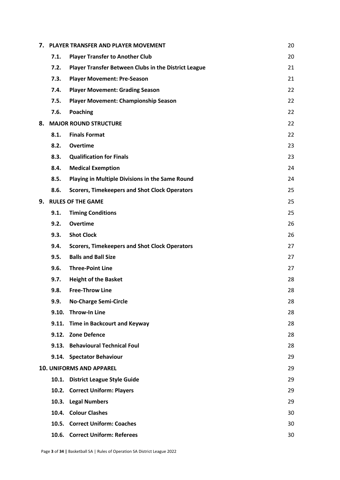|    |       | 7. PLAYER TRANSFER AND PLAYER MOVEMENT               | 20 |
|----|-------|------------------------------------------------------|----|
|    | 7.1.  | <b>Player Transfer to Another Club</b>               | 20 |
|    | 7.2.  | Player Transfer Between Clubs in the District League | 21 |
|    | 7.3.  | <b>Player Movement: Pre-Season</b>                   | 21 |
|    | 7.4.  | <b>Player Movement: Grading Season</b>               | 22 |
|    | 7.5.  | <b>Player Movement: Championship Season</b>          | 22 |
|    | 7.6.  | <b>Poaching</b>                                      | 22 |
|    |       | 8. MAJOR ROUND STRUCTURE                             | 22 |
|    | 8.1.  | <b>Finals Format</b>                                 | 22 |
|    | 8.2.  | <b>Overtime</b>                                      | 23 |
|    | 8.3.  | <b>Qualification for Finals</b>                      | 23 |
|    | 8.4.  | <b>Medical Exemption</b>                             | 24 |
|    | 8.5.  | Playing in Multiple Divisions in the Same Round      | 24 |
|    | 8.6.  | <b>Scorers, Timekeepers and Shot Clock Operators</b> | 25 |
| 9. |       | <b>RULES OF THE GAME</b>                             | 25 |
|    | 9.1.  | <b>Timing Conditions</b>                             | 25 |
|    | 9.2.  | <b>Overtime</b>                                      | 26 |
|    | 9.3.  | <b>Shot Clock</b>                                    | 26 |
|    | 9.4.  | <b>Scorers, Timekeepers and Shot Clock Operators</b> | 27 |
|    | 9.5.  | <b>Balls and Ball Size</b>                           | 27 |
|    | 9.6.  | <b>Three-Point Line</b>                              | 27 |
|    | 9.7.  | <b>Height of the Basket</b>                          | 28 |
|    | 9.8.  | <b>Free-Throw Line</b>                               | 28 |
|    | 9.9.  | <b>No-Charge Semi-Circle</b>                         | 28 |
|    | 9.10. | <b>Throw-In Line</b>                                 | 28 |
|    |       | 9.11. Time in Backcourt and Keyway                   | 28 |
|    |       | 9.12. Zone Defence                                   | 28 |
|    |       | 9.13. Behavioural Technical Foul                     | 28 |
|    |       | 9.14. Spectator Behaviour                            | 29 |
|    |       | <b>10. UNIFORMS AND APPAREL</b>                      | 29 |
|    |       | 10.1. District League Style Guide                    | 29 |
|    |       | 10.2. Correct Uniform: Players                       | 29 |
|    | 10.3. | <b>Legal Numbers</b>                                 | 29 |
|    |       | 10.4. Colour Clashes                                 | 30 |
|    |       | 10.5. Correct Uniform: Coaches                       | 30 |
|    |       | 10.6. Correct Uniform: Referees                      | 30 |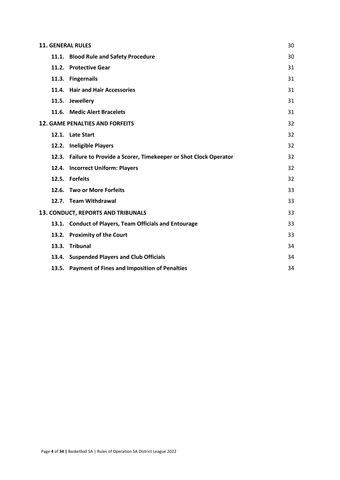| <b>11. GENERAL RULES</b> |                                                                      |    |  |  |
|--------------------------|----------------------------------------------------------------------|----|--|--|
|                          | 11.1. Blood Rule and Safety Procedure                                | 30 |  |  |
| 11.2.                    | <b>Protective Gear</b>                                               | 31 |  |  |
|                          | 11.3. Fingernails                                                    | 31 |  |  |
|                          | 11.4. Hair and Hair Accessories                                      | 31 |  |  |
|                          | 11.5. Jewellery                                                      | 31 |  |  |
|                          | 11.6. Medic Alert Bracelets                                          | 31 |  |  |
|                          | <b>12. GAME PENALTIES AND FORFEITS</b>                               | 32 |  |  |
|                          | 12.1. Late Start                                                     | 32 |  |  |
|                          | 12.2. Ineligible Players                                             | 32 |  |  |
|                          | 12.3. Failure to Provide a Scorer, Timekeeper or Shot Clock Operator | 32 |  |  |
| 12.4.                    | <b>Incorrect Uniform: Players</b>                                    | 32 |  |  |
|                          | 12.5. Forfeits                                                       | 32 |  |  |
|                          | 12.6. Two or More Forfeits                                           | 33 |  |  |
|                          | 12.7. Team Withdrawal                                                | 33 |  |  |
|                          | 13. CONDUCT, REPORTS AND TRIBUNALS                                   | 33 |  |  |
|                          | 13.1. Conduct of Players, Team Officials and Entourage               | 33 |  |  |
|                          | 13.2. Proximity of the Court                                         | 33 |  |  |
| 13.3.                    | <b>Tribunal</b>                                                      | 34 |  |  |
|                          | 13.4. Suspended Players and Club Officials                           | 34 |  |  |
|                          | 13.5. Payment of Fines and Imposition of Penalties                   | 34 |  |  |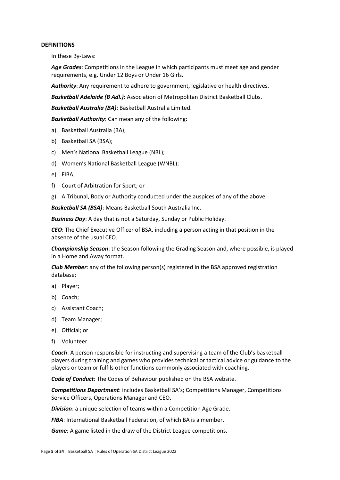#### **DEFINITIONS**

In these By-Laws:

*Age Grades*: Competitions in the League in which participants must meet age and gender requirements, e.g. Under 12 Boys or Under 16 Girls.

*Authority*: Any requirement to adhere to government, legislative or health directives.

*Basketball Adelaide (B Adl.)*: Association of Metropolitan District Basketball Clubs.

*Basketball Australia (BA)*: Basketball Australia Limited.

*Basketball Authority*: Can mean any of the following:

- a) Basketball Australia (BA);
- b) Basketball SA (BSA);
- c) Men's National Basketball League (NBL);
- d) Women's National Basketball League (WNBL);
- e) FIBA;
- f) Court of Arbitration for Sport; or
- g) A Tribunal, Body or Authority conducted under the auspices of any of the above.

*Basketball SA (BSA)*: Means Basketball South Australia Inc.

*Business Day*: A day that is not a Saturday, Sunday or Public Holiday.

*CEO*: The Chief Executive Officer of BSA, including a person acting in that position in the absence of the usual CEO.

*Championship Season*: the Season following the Grading Season and, where possible, is played in a Home and Away format.

*Club Member*: any of the following person(s) registered in the BSA approved registration database:

- a) Player;
- b) Coach;
- c) Assistant Coach;
- d) Team Manager;
- e) Official; or
- f) Volunteer.

*Coach*: A person responsible for instructing and supervising a team of the Club's basketball players during training and games who provides technical or tactical advice or guidance to the players or team or fulfils other functions commonly associated with coaching.

*Code of Conduct*: The Codes of Behaviour published on the BSA website.

*Competitions Department*: includes Basketball SA's; Competitions Manager, Competitions Service Officers, Operations Manager and CEO.

*Division*: a unique selection of teams within a Competition Age Grade.

*FIBA*: International Basketball Federation, of which BA is a member.

*Game*: A game listed in the draw of the District League competitions.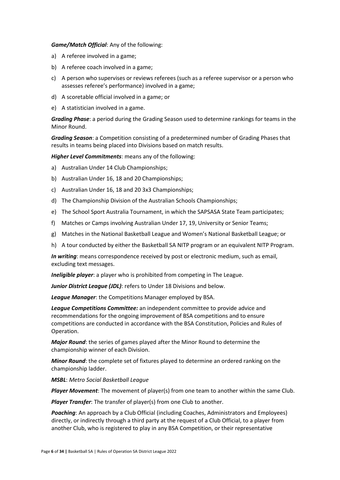#### *Game/Match Official*: Any of the following:

- a) A referee involved in a game;
- b) A referee coach involved in a game;
- c) A person who supervises or reviews referees (such as a referee supervisor or a person who assesses referee's performance) involved in a game;
- d) A scoretable official involved in a game; or
- e) A statistician involved in a game.

*Grading Phase*: a period during the Grading Season used to determine rankings for teams in the Minor Round.

*Grading Season*: a Competition consisting of a predetermined number of Grading Phases that results in teams being placed into Divisions based on match results.

*Higher Level Commitments*: means any of the following:

- a) Australian Under 14 Club Championships;
- b) Australian Under 16, 18 and 20 Championships;
- c) Australian Under 16, 18 and 20 3x3 Championships;
- d) The Championship Division of the Australian Schools Championships;
- e) The School Sport Australia Tournament, in which the SAPSASA State Team participates;
- f) Matches or Camps involving Australian Under 17, 19, University or Senior Teams;
- g) Matches in the National Basketball League and Women's National Basketball League; or
- h) A tour conducted by either the Basketball SA NITP program or an equivalent NITP Program.

*In writing*: means correspondence received by post or electronic medium, such as email, excluding text messages.

*Ineligible player*: a player who is prohibited from competing in The League.

*Junior District League (JDL)*: refers to Under 18 Divisions and below.

*League Manager*: the Competitions Manager employed by BSA.

*League Competitions Committee:* an independent committee to provide advice and recommendations for the ongoing improvement of BSA competitions and to ensure competitions are conducted in accordance with the BSA Constitution, Policies and Rules of Operation.

*Major Round*: the series of games played after the Minor Round to determine the championship winner of each Division.

*Minor Round*: the complete set of fixtures played to determine an ordered ranking on the championship ladder.

*MSBL*: *Metro Social Basketball League*

*Player Movement*: The movement of player(s) from one team to another within the same Club.

*Player Transfer*: The transfer of player(s) from one Club to another.

*Poaching*: An approach by a Club Official (including Coaches, Administrators and Employees) directly, or indirectly through a third party at the request of a Club Official, to a player from another Club, who is registered to play in any BSA Competition, or their representative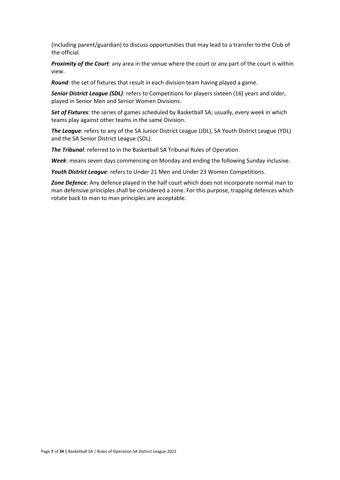(including parent/guardian) to discuss opportunities that may lead to a transfer to the Club of the official.

*Proximity of the Court*: any area in the venue where the court or any part of the court is within view.

*Round*: the set of fixtures that result in each division team having played a game.

*Senior District League (SDL)*: refers to Competitions for players sixteen (16) years and older, played in Senior Men and Senior Women Divisions.

*Set of Fixtures*: the series of games scheduled by Basketball SA; usually, every week in which teams play against other teams in the same Division.

*The League*: refers to any of the SA Junior District League (JDL), SA Youth District League (YDL) and the SA Senior District League (SDL).

*The Tribunal*: referred to in the Basketball SA Tribunal Rules of Operation.

*Week*: means seven days commencing on Monday and ending the following Sunday inclusive.

*Youth District League*: refers to Under 21 Men and Under 23 Women Competitions.

*Zone Defence*: Any defence played in the half court which does not incorporate normal man to man defensive principles shall be considered a zone. For this purpose, trapping defences which rotate back to man to man principles are acceptable.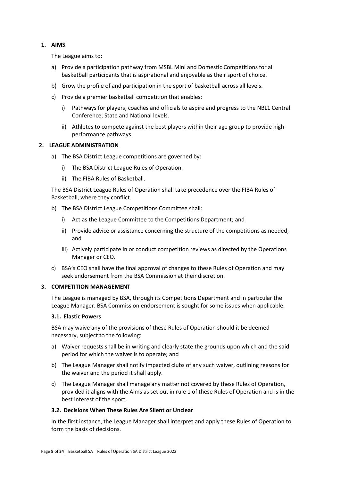## <span id="page-7-0"></span>**1. AIMS**

The League aims to:

- a) Provide a participation pathway from MSBL Mini and Domestic Competitions for all basketball participants that is aspirational and enjoyable as their sport of choice.
- b) Grow the profile of and participation in the sport of basketball across all levels.
- c) Provide a premier basketball competition that enables:
	- i) Pathways for players, coaches and officials to aspire and progress to the NBL1 Central Conference, State and National levels.
	- ii) Athletes to compete against the best players within their age group to provide highperformance pathways.

## <span id="page-7-1"></span>**2. LEAGUE ADMINISTRATION**

- a) The BSA District League competitions are governed by:
	- i) The BSA District League Rules of Operation.
	- ii) The FIBA Rules of Basketball.

The BSA District League Rules of Operation shall take precedence over the FIBA Rules of Basketball, where they conflict.

- b) The BSA District League Competitions Committee shall:
	- i) Act as the League Committee to the Competitions Department; and
	- ii) Provide advice or assistance concerning the structure of the competitions as needed; and
	- iii) Actively participate in or conduct competition reviews as directed by the Operations Manager or CEO.
- c) BSA's CEO shall have the final approval of changes to these Rules of Operation and may seek endorsement from the BSA Commission at their discretion.

### <span id="page-7-2"></span>**3. COMPETITION MANAGEMENT**

The League is managed by BSA, through its Competitions Department and in particular the League Manager. BSA Commission endorsement is sought for some issues when applicable.

### <span id="page-7-3"></span>**3.1. Elastic Powers**

BSA may waive any of the provisions of these Rules of Operation should it be deemed necessary, subject to the following:

- a) Waiver requests shall be in writing and clearly state the grounds upon which and the said period for which the waiver is to operate; and
- b) The League Manager shall notify impacted clubs of any such waiver, outlining reasons for the waiver and the period it shall apply.
- c) The League Manager shall manage any matter not covered by these Rules of Operation, provided it aligns with the Aims as set out in rule 1 of these Rules of Operation and is in the best interest of the sport.

### <span id="page-7-4"></span>**3.2. Decisions When These Rules Are Silent or Unclear**

In the first instance, the League Manager shall interpret and apply these Rules of Operation to form the basis of decisions.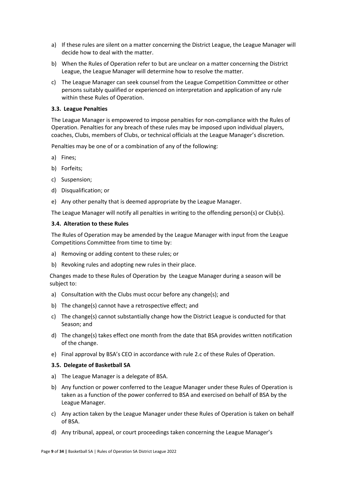- a) If these rules are silent on a matter concerning the District League, the League Manager will decide how to deal with the matter.
- b) When the Rules of Operation refer to but are unclear on a matter concerning the District League, the League Manager will determine how to resolve the matter.
- c) The League Manager can seek counsel from the League Competition Committee or other persons suitably qualified or experienced on interpretation and application of any rule within these Rules of Operation.

#### <span id="page-8-0"></span>**3.3. League Penalties**

The League Manager is empowered to impose penalties for non-compliance with the Rules of Operation. Penalties for any breach of these rules may be imposed upon individual players, coaches, Clubs, members of Clubs, or technical officials at the League Manager's discretion.

Penalties may be one of or a combination of any of the following:

- a) Fines;
- b) Forfeits;
- c) Suspension;
- d) Disqualification; or
- e) Any other penalty that is deemed appropriate by the League Manager.

The League Manager will notify all penalties in writing to the offending person(s) or Club(s).

#### <span id="page-8-1"></span>**3.4. Alteration to these Rules**

The Rules of Operation may be amended by the League Manager with input from the League Competitions Committee from time to time by:

- a) Removing or adding content to these rules; or
- b) Revoking rules and adopting new rules in their place.

Changes made to these Rules of Operation by the League Manager during a season will be subject to:

- a) Consultation with the Clubs must occur before any change(s); and
- b) The change(s) cannot have a retrospective effect; and
- c) The change(s) cannot substantially change how the District League is conducted for that Season; and
- d) The change(s) takes effect one month from the date that BSA provides written notification of the change.
- e) Final approval by BSA's CEO in accordance with rule 2.c of these Rules of Operation.

#### <span id="page-8-2"></span>**3.5. Delegate of Basketball SA**

- a) The League Manager is a delegate of BSA.
- b) Any function or power conferred to the League Manager under these Rules of Operation is taken as a function of the power conferred to BSA and exercised on behalf of BSA by the League Manager.
- c) Any action taken by the League Manager under these Rules of Operation is taken on behalf of BSA.
- d) Any tribunal, appeal, or court proceedings taken concerning the League Manager's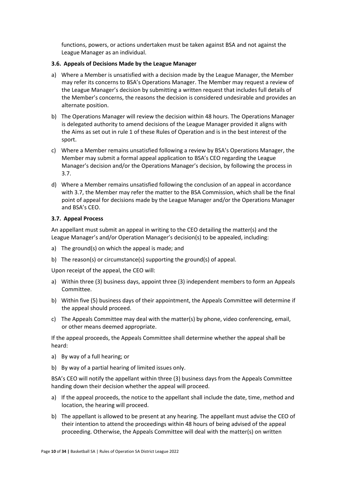functions, powers, or actions undertaken must be taken against BSA and not against the League Manager as an individual.

#### <span id="page-9-0"></span>**3.6. Appeals of Decisions Made by the League Manager**

- a) Where a Member is unsatisfied with a decision made by the League Manager, the Member may refer its concerns to BSA's Operations Manager. The Member may request a review of the League Manager's decision by submitting a written request that includes full details of the Member's concerns, the reasons the decision is considered undesirable and provides an alternate position.
- b) The Operations Manager will review the decision within 48 hours. The Operations Manager is delegated authority to amend decisions of the League Manager provided it aligns with the Aims as set out in rule 1 of these Rules of Operation and is in the best interest of the sport.
- c) Where a Member remains unsatisfied following a review by BSA's Operations Manager, the Member may submit a formal appeal application to BSA's CEO regarding the League Manager's decision and/or the Operations Manager's decision, by following the process in 3.7.
- d) Where a Member remains unsatisfied following the conclusion of an appeal in accordance with 3.7, the Member may refer the matter to the BSA Commission, which shall be the final point of appeal for decisions made by the League Manager and/or the Operations Manager and BSA's CEO.

### <span id="page-9-1"></span>**3.7. Appeal Process**

An appellant must submit an appeal in writing to the CEO detailing the matter(s) and the League Manager's and/or Operation Manager's decision(s) to be appealed, including:

- a) The ground(s) on which the appeal is made; and
- b) The reason(s) or circumstance(s) supporting the ground(s) of appeal.

Upon receipt of the appeal, the CEO will:

- a) Within three (3) business days, appoint three (3) independent members to form an Appeals Committee.
- b) Within five (5) business days of their appointment, the Appeals Committee will determine if the appeal should proceed.
- c) The Appeals Committee may deal with the matter(s) by phone, video conferencing, email, or other means deemed appropriate.

If the appeal proceeds, the Appeals Committee shall determine whether the appeal shall be heard:

- a) By way of a full hearing; or
- b) By way of a partial hearing of limited issues only.

BSA's CEO will notify the appellant within three (3) business days from the Appeals Committee handing down their decision whether the appeal will proceed.

- a) If the appeal proceeds, the notice to the appellant shall include the date, time, method and location, the hearing will proceed.
- b) The appellant is allowed to be present at any hearing. The appellant must advise the CEO of their intention to attend the proceedings within 48 hours of being advised of the appeal proceeding. Otherwise, the Appeals Committee will deal with the matter(s) on written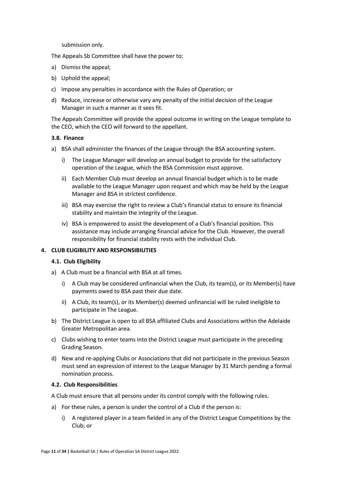submission only.

The Appeals Sb Committee shall have the power to:

- a) Dismiss the appeal;
- b) Uphold the appeal;
- c) Impose any penalties in accordance with the Rules of Operation; or
- d) Reduce, increase or otherwise vary any penalty of the initial decision of the League Manager in such a manner as it sees fit.

The Appeals Committee will provide the appeal outcome in writing on the League template to the CEO, which the CEO will forward to the appellant.

### <span id="page-10-0"></span>**3.8. Finance**

- a) BSA shall administer the finances of the League through the BSA accounting system.
	- i) The League Manager will develop an annual budget to provide for the satisfactory operation of the League, which the BSA Commission must approve.
	- ii) Each Member Club must develop an annual financial budget which is to be made available to the League Manager upon request and which may be held by the League Manager and BSA in strictest confidence.
	- iii) BSA may exercise the right to review a Club's financial status to ensure its financial stability and maintain the integrity of the League.
	- iv) BSA is empowered to assist the development of a Club's financial position. This assistance may include arranging financial advice for the Club. However, the overall responsibility for financial stability rests with the individual Club.

### <span id="page-10-1"></span>**4. CLUB ELIGIBILITY AND RESPONSIBILITIES**

### **4.1. Club Eligibility**

- a) A Club must be a financial with BSA at all times.
	- i) A Club may be considered unfinancial when the Club, its team(s), or its Member(s) have payments owed to BSA past their due date.
	- ii) A Club, its team(s), or its Member(s) deemed unfinancial will be ruled ineligible to participate in The League.
- b) The District League is open to all BSA affiliated Clubs and Associations within the Adelaide Greater Metropolitan area.
- c) Clubs wishing to enter teams into the District League must participate in the preceding Grading Season.
- d) New and re-applying Clubs or Associations that did not participate in the previous Season must send an expression of interest to the League Manager by 31 March pending a formal nomination process.

### <span id="page-10-2"></span>**4.2. Club Responsibilities**

A Club must ensure that all persons under its control comply with the following rules.

- a) For these rules, a person is under the control of a Club if the person is:
	- i) A registered player in a team fielded in any of the District League Competitions by the Club; or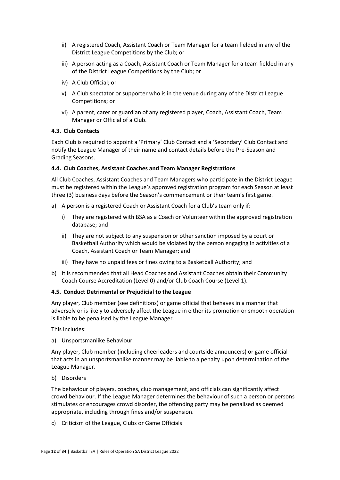- ii) A registered Coach, Assistant Coach or Team Manager for a team fielded in any of the District League Competitions by the Club; or
- iii) A person acting as a Coach, Assistant Coach or Team Manager for a team fielded in any of the District League Competitions by the Club; or
- iv) A Club Official; or
- v) A Club spectator or supporter who is in the venue during any of the District League Competitions; or
- vi) A parent, carer or guardian of any registered player, Coach, Assistant Coach, Team Manager or Official of a Club.

## <span id="page-11-0"></span>**4.3. Club Contacts**

Each Club is required to appoint a 'Primary' Club Contact and a 'Secondary' Club Contact and notify the League Manager of their name and contact details before the Pre-Season and Grading Seasons.

### <span id="page-11-1"></span>**4.4. Club Coaches, Assistant Coaches and Team Manager Registrations**

All Club Coaches, Assistant Coaches and Team Managers who participate in the District League must be registered within the League's approved registration program for each Season at least three (3) business days before the Season's commencement or their team's first game.

- a) A person is a registered Coach or Assistant Coach for a Club's team only if:
	- i) They are registered with BSA as a Coach or Volunteer within the approved registration database; and
	- ii) They are not subject to any suspension or other sanction imposed by a court or Basketball Authority which would be violated by the person engaging in activities of a Coach, Assistant Coach or Team Manager; and
	- iii) They have no unpaid fees or fines owing to a Basketball Authority; and
- b) It is recommended that all Head Coaches and Assistant Coaches obtain their Community Coach Course Accreditation (Level 0) and/or Club Coach Course (Level 1).

## <span id="page-11-2"></span>**4.5. Conduct Detrimental or Prejudicial to the League**

Any player, Club member (see definitions) or game official that behaves in a manner that adversely or is likely to adversely affect the League in either its promotion or smooth operation is liable to be penalised by the League Manager.

This includes:

a) Unsportsmanlike Behaviour

Any player, Club member (including cheerleaders and courtside announcers) or game official that acts in an unsportsmanlike manner may be liable to a penalty upon determination of the League Manager.

b) Disorders

The behaviour of players, coaches, club management, and officials can significantly affect crowd behaviour. If the League Manager determines the behaviour of such a person or persons stimulates or encourages crowd disorder, the offending party may be penalised as deemed appropriate, including through fines and/or suspension.

c) Criticism of the League, Clubs or Game Officials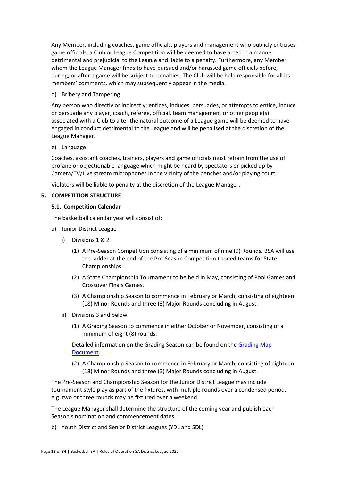Any Member, including coaches, game officials, players and management who publicly criticises game officials, a Club or League Competition will be deemed to have acted in a manner detrimental and prejudicial to the League and liable to a penalty. Furthermore, any Member whom the League Manager finds to have pursued and/or harassed game officials before, during, or after a game will be subject to penalties. The Club will be held responsible for all its members' comments, which may subsequently appear in the media.

### d) Bribery and Tampering

Any person who directly or indirectly; entices, induces, persuades, or attempts to entice, induce or persuade any player, coach, referee, official, team management or other people(s) associated with a Club to alter the natural outcome of a League game will be deemed to have engaged in conduct detrimental to the League and will be penalised at the discretion of the League Manager.

## e) Language

Coaches, assistant coaches, trainers, players and game officials must refrain from the use of profane or objectionable language which might be heard by spectators or picked up by Camera/TV/Live stream microphones in the vicinity of the benches and/or playing court.

Violators will be liable to penalty at the discretion of the League Manager.

## <span id="page-12-1"></span><span id="page-12-0"></span>**5. COMPETITION STRUCTURE**

## **5.1. Competition Calendar**

The basketball calendar year will consist of:

- a) Junior District League
	- i) Divisions 1 & 2
		- (1) A Pre-Season Competition consisting of a minimum of nine (9) Rounds. BSA will use the ladder at the end of the Pre-Season Competition to seed teams for State Championships.
		- (2) A State Championship Tournament to be held in May, consisting of Pool Games and Crossover Finals Games.
		- (3) A Championship Season to commence in February or March, consisting of eighteen (18) Minor Rounds and three (3) Major Rounds concluding in August.
	- ii) Divisions 3 and below
		- (1) A Grading Season to commence in either October or November, consisting of a minimum of eight (8) rounds.

Detailed information on the Grading Season can be found on the [Grading](https://basketballsouthaustralia-my.sharepoint.com/personal/tmitchell_bsaapps_com_au/Documents/Documents/BSA/Comps/District/2022/2022%20-%2010%20Team%20Grading%20Map.pdf) Map [Document.](https://basketballsouthaustralia-my.sharepoint.com/personal/tmitchell_bsaapps_com_au/Documents/Documents/BSA/Comps/District/2022/2022%20-%2010%20Team%20Grading%20Map.pdf)

(2) A Championship Season to commence in February or March, consisting of eighteen (18) Minor Rounds and three (3) Major Rounds concluding in August.

The Pre-Season and Championship Season for the Junior District League may include tournament style play as part of the fixtures, with multiple rounds over a condensed period, e.g. two or three rounds may be fixtured over a weekend.

The League Manager shall determine the structure of the coming year and publish each Season's nomination and commencement dates.

b) Youth District and Senior District Leagues (YDL and SDL)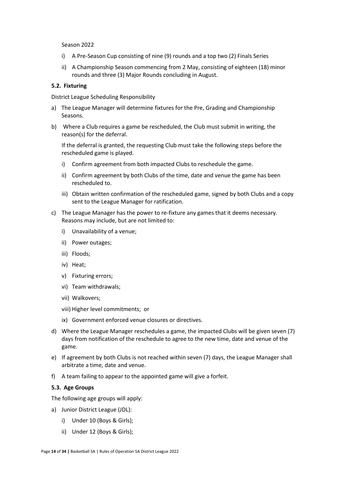Season 2022

- i) A Pre-Season Cup consisting of nine (9) rounds and a top two (2) Finals Series
- ii) A Championship Season commencing from 2 May, consisting of eighteen (18) minor rounds and three (3) Major Rounds concluding in August.

#### <span id="page-13-0"></span>**5.2. Fixturing**

District League Scheduling Responsibility

- a) The League Manager will determine fixtures for the Pre, Grading and Championship Seasons.
- b) Where a Club requires a game be rescheduled, the Club must submit in writing, the reason(s) for the deferral.

If the deferral is granted, the requesting Club must take the following steps before the rescheduled game is played.

- i) Confirm agreement from both impacted Clubs to reschedule the game.
- ii) Confirm agreement by both Clubs of the time, date and venue the game has been rescheduled to.
- iii) Obtain written confirmation of the rescheduled game, signed by both Clubs and a copy sent to the League Manager for ratification.
- c) The League Manager has the power to re-fixture any games that it deems necessary. Reasons may include, but are not limited to:
	- i) Unavailability of a venue;
	- ii) Power outages;
	- iii) Floods;
	- iv) Heat;
	- v) Fixturing errors;
	- vi) Team withdrawals;
	- vii) Walkovers;
	- viii) Higher level commitments; or
	- ix) Government enforced venue closures or directives.
- d) Where the League Manager reschedules a game, the impacted Clubs will be given seven (7) days from notification of the reschedule to agree to the new time, date and venue of the game.
- e) If agreement by both Clubs is not reached within seven (7) days, the League Manager shall arbitrate a time, date and venue.
- f) A team failing to appear to the appointed game will give a forfeit.

#### <span id="page-13-1"></span>**5.3. Age Groups**

The following age groups will apply:

- a) Junior District League (JDL):
	- i) Under 10 (Boys & Girls);
	- ii) Under 12 (Boys & Girls);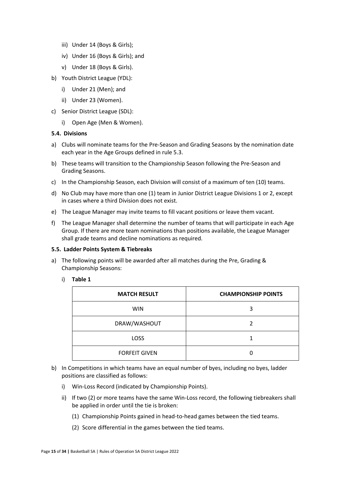- iii) Under 14 (Boys & Girls);
- iv) Under 16 (Boys & Girls); and
- v) Under 18 (Boys & Girls).
- b) Youth District League (YDL):
	- i) Under 21 (Men); and
	- ii) Under 23 (Women).
- c) Senior District League (SDL):
	- i) Open Age (Men & Women).

#### <span id="page-14-0"></span>**5.4. Divisions**

- a) Clubs will nominate teams for the Pre-Season and Grading Seasons by the nomination date each year in the Age Groups defined in rule 5.3.
- b) These teams will transition to the Championship Season following the Pre-Season and Grading Seasons.
- c) In the Championship Season, each Division will consist of a maximum of ten (10) teams.
- d) No Club may have more than one (1) team in Junior District League Divisions 1 or 2, except in cases where a third Division does not exist.
- e) The League Manager may invite teams to fill vacant positions or leave them vacant.
- f) The League Manager shall determine the number of teams that will participate in each Age Group. If there are more team nominations than positions available, the League Manager shall grade teams and decline nominations as required.

#### <span id="page-14-1"></span>**5.5. Ladder Points System & Tiebreaks**

a) The following points will be awarded after all matches during the Pre, Grading & Championship Seasons:

#### i) **Table 1**

| <b>MATCH RESULT</b>  | <b>CHAMPIONSHIP POINTS</b> |
|----------------------|----------------------------|
| <b>WIN</b>           | 3                          |
| DRAW/WASHOUT         |                            |
| <b>LOSS</b>          |                            |
| <b>FORFEIT GIVEN</b> |                            |

- b) In Competitions in which teams have an equal number of byes, including no byes, ladder positions are classified as follows:
	- i) Win-Loss Record (indicated by Championship Points).
	- ii) If two (2) or more teams have the same Win-Loss record, the following tiebreakers shall be applied in order until the tie is broken:
		- (1) Championship Points gained in head-to-head games between the tied teams.
		- (2) Score differential in the games between the tied teams.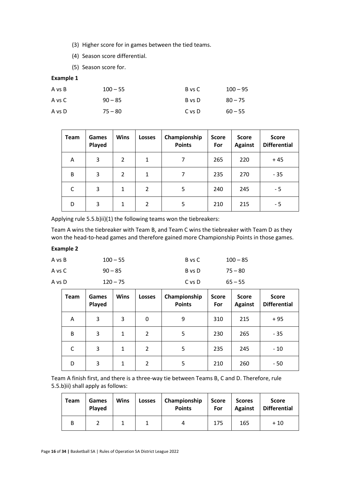(3) Higher score for in games between the tied teams.

(4) Season score differential.

(5) Season score for.

## **Example 1**

| A vs B | $100 - 55$ | B vs C | $100 - 95$ |
|--------|------------|--------|------------|
| A vs C | $90 - 85$  | B vs D | $80 - 75$  |
| A vs D | $75 - 80$  | C vs D | $60 - 55$  |

| Team | Games<br>Played | <b>Wins</b>    | Losses         | Championship<br><b>Points</b> | <b>Score</b><br>For | <b>Score</b><br><b>Against</b> | <b>Score</b><br><b>Differential</b> |
|------|-----------------|----------------|----------------|-------------------------------|---------------------|--------------------------------|-------------------------------------|
| A    | 3               | $\overline{2}$ | 1              | 7                             | 265                 | 220                            | $+45$                               |
| B    | 3               | 2              | 1              | 7                             | 235                 | 270                            | $-35$                               |
| C    | 3               | 1              | $\overline{2}$ | 5                             | 240                 | 245                            | - 5                                 |
| D    | 3               | 1              | $\overline{2}$ | 5                             | 210                 | 215                            | - 5                                 |

Applying rule 5.5.b)ii)(1) the following teams won the tiebreakers:

Team A wins the tiebreaker with Team B, and Team C wins the tiebreaker with Team D as they won the head-to-head games and therefore gained more Championship Points in those games.

## **Example 2**

| A vs B | $100 - 55$ | B vs C | $100 - 85$ |
|--------|------------|--------|------------|
| A vs C | $90 - 85$  | B vs D | 75 – 80    |
| A vs D | $120 - 75$ | C vs D | $65 - 55$  |

| <b>Team</b> | <b>Games</b><br>Played | <b>Wins</b> | Losses         | Championship<br><b>Points</b> | <b>Score</b><br>For | <b>Score</b><br><b>Against</b> | <b>Score</b><br><b>Differential</b> |
|-------------|------------------------|-------------|----------------|-------------------------------|---------------------|--------------------------------|-------------------------------------|
| A           | 3                      | 3           | 0              | 9                             | 310                 | 215                            | $+95$                               |
| B           | 3                      | 1           | $\overline{2}$ | 5                             | 230                 | 265                            | $-35$                               |
| C           | 3                      | 1           | 2              | 5                             | 235                 | 245                            | $-10$                               |
| D           | 3                      | 1           | 2              | 5                             | 210                 | 260                            | $-50$                               |

Team A finish first, and there is a three-way tie between Teams B, C and D. Therefore, rule 5.5.b)ii) shall apply as follows:

| <b>Team</b> | Games<br>Played | <b>Wins</b> | <b>Losses</b> | Championship<br><b>Points</b> | <b>Score</b><br>For | <b>Scores</b><br><b>Against</b> | <b>Score</b><br><b>Differential</b> |
|-------------|-----------------|-------------|---------------|-------------------------------|---------------------|---------------------------------|-------------------------------------|
| B           |                 |             |               |                               | 175                 | 165                             | $+10$                               |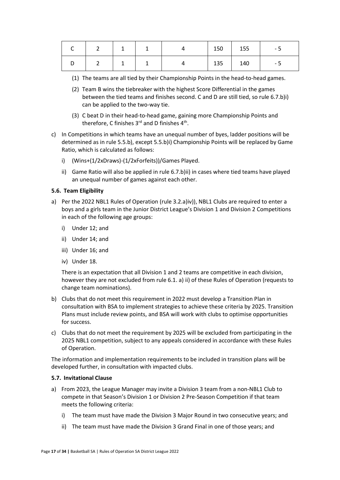|                         | $\begin{array}{ccc} & 1 \\ \end{array}$ | $\overline{a}$ |     | 150   155 | - 5 |
|-------------------------|-----------------------------------------|----------------|-----|-----------|-----|
| $\overline{\mathbf{z}}$ | $\begin{array}{cc} 1 & 1 \end{array}$   | $\overline{4}$ | 135 | 140       | - 5 |

- (1) The teams are all tied by their Championship Points in the head-to-head games.
- (2) Team B wins the tiebreaker with the highest Score Differential in the games between the tied teams and finishes second. C and D are still tied, so rule 6.7.b)i) can be applied to the two-way tie.
- (3) C beat D in their head-to-head game, gaining more Championship Points and therefore, C finishes  $3<sup>rd</sup>$  and D finishes  $4<sup>th</sup>$ .
- c) In Competitions in which teams have an unequal number of byes, ladder positions will be determined as in rule 5.5.b), except 5.5.b)i) Championship Points will be replaced by Game Ratio, which is calculated as follows:
	- i) (Wins+(1/2xDraws)-(1/2xForfeits))/Games Played.
	- ii) Game Ratio will also be applied in rule 6.7.b)ii) in cases where tied teams have played an unequal number of games against each other.

#### <span id="page-16-0"></span>**5.6. Team Eligibility**

- a) Per the 2022 NBL1 Rules of Operation (rule 3.2.a)iv)), NBL1 Clubs are required to enter a boys and a girls team in the Junior District League's Division 1 and Division 2 Competitions in each of the following age groups:
	- i) Under 12; and
	- ii) Under 14; and
	- iii) Under 16; and
	- iv) Under 18.

There is an expectation that all Division 1 and 2 teams are competitive in each division, however they are not excluded from rule 6.1. a) ii) of these Rules of Operation (requests to change team nominations).

- b) Clubs that do not meet this requirement in 2022 must develop a Transition Plan in consultation with BSA to implement strategies to achieve these criteria by 2025. Transition Plans must include review points, and BSA will work with clubs to optimise opportunities for success.
- c) Clubs that do not meet the requirement by 2025 will be excluded from participating in the 2025 NBL1 competition, subject to any appeals considered in accordance with these Rules of Operation.

The information and implementation requirements to be included in transition plans will be developed further, in consultation with impacted clubs.

#### <span id="page-16-1"></span>**5.7. Invitational Clause**

- a) From 2023, the League Manager may invite a Division 3 team from a non-NBL1 Club to compete in that Season's Division 1 or Division 2 Pre-Season Competition if that team meets the following criteria:
	- i) The team must have made the Division 3 Major Round in two consecutive years; and
	- ii) The team must have made the Division 3 Grand Final in one of those years; and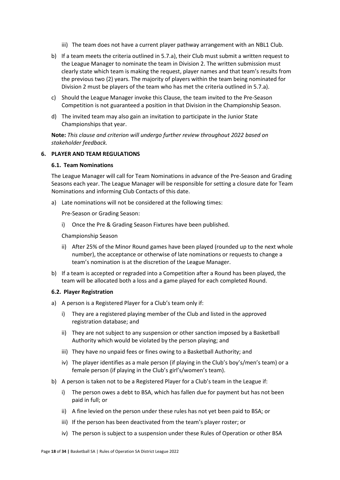- iii) The team does not have a current player pathway arrangement with an NBL1 Club.
- b) If a team meets the criteria outlined in 5.7.a), their Club must submit a written request to the League Manager to nominate the team in Division 2. The written submission must clearly state which team is making the request, player names and that team's results from the previous two (2) years. The majority of players within the team being nominated for Division 2 must be players of the team who has met the criteria outlined in 5.7.a).
- c) Should the League Manager invoke this Clause, the team invited to the Pre-Season Competition is not guaranteed a position in that Division in the Championship Season.
- d) The invited team may also gain an invitation to participate in the Junior State Championships that year.

**Note:** *This clause and criterion will undergo further review throughout 2022 based on stakeholder feedback.*

### <span id="page-17-1"></span><span id="page-17-0"></span>**6. PLAYER AND TEAM REGULATIONS**

#### **6.1. Team Nominations**

The League Manager will call for Team Nominations in advance of the Pre-Season and Grading Seasons each year. The League Manager will be responsible for setting a closure date for Team Nominations and informing Club Contacts of this date.

a) Late nominations will not be considered at the following times:

Pre-Season or Grading Season:

i) Once the Pre & Grading Season Fixtures have been published.

Championship Season

- ii) After 25% of the Minor Round games have been played (rounded up to the next whole number), the acceptance or otherwise of late nominations or requests to change a team's nomination is at the discretion of the League Manager.
- b) If a team is accepted or regraded into a Competition after a Round has been played, the team will be allocated both a loss and a game played for each completed Round.

#### <span id="page-17-2"></span>**6.2. Player Registration**

- a) A person is a Registered Player for a Club's team only if:
	- i) They are a registered playing member of the Club and listed in the approved registration database; and
	- ii) They are not subject to any suspension or other sanction imposed by a Basketball Authority which would be violated by the person playing; and
	- iii) They have no unpaid fees or fines owing to a Basketball Authority; and
	- iv) The player identifies as a male person (if playing in the Club's boy's/men's team) or a female person (if playing in the Club's girl's/women's team).
- b) A person is taken not to be a Registered Player for a Club's team in the League if:
	- i) The person owes a debt to BSA, which has fallen due for payment but has not been paid in full; or
	- ii) A fine levied on the person under these rules has not yet been paid to BSA; or
	- iii) If the person has been deactivated from the team's player roster; or
	- iv) The person is subject to a suspension under these Rules of Operation or other BSA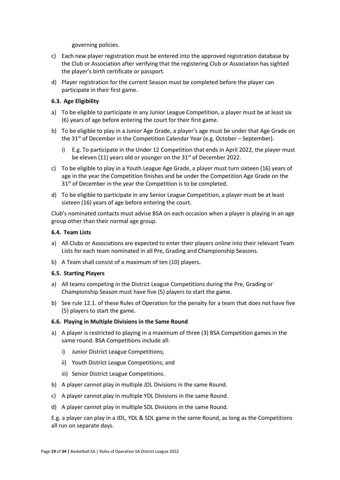governing policies.

- c) Each new player registration must be entered into the approved registration database by the Club or Association after verifying that the registering Club or Association has sighted the player's birth certificate or passport.
- d) Player registration for the current Season must be completed before the player can participate in their first game.

## <span id="page-18-0"></span>**6.3. Age Eligibility**

- a) To be eligible to participate in any Junior League Competition, a player must be at least six (6) years of age before entering the court for their first game.
- b) To be eligible to play in a Junior Age Grade, a player's age must be under that Age Grade on the  $31<sup>st</sup>$  of December in the Competition Calendar Year (e.g. October – September).
	- i) E.g. To participate in the Under 12 Competition that ends in April 2022, the player must be eleven (11) years old or younger on the 31<sup>st</sup> of December 2022.
- c) To be eligible to play in a Youth League Age Grade, a player must turn sixteen (16) years of age in the year the Competition finishes and be under the Competition Age Grade on the 31st of December in the year the Competition is to be completed.
- d) To be eligible to participate in any Senior League Competition, a player must be at least sixteen (16) years of age before entering the court.

Club's nominated contacts must advise BSA on each occasion when a player is playing in an age group other than their normal age group.

### <span id="page-18-1"></span>**6.4. Team Lists**

- a) All Clubs or Associations are expected to enter their players online into their relevant Team Lists for each team nominated in all Pre, Grading and Championship Seasons.
- b) A Team shall consist of a maximum of ten (10) players.

### <span id="page-18-2"></span>**6.5. Starting Players**

- a) All teams competing in the District League Competitions during the Pre, Grading or Championship Season must have five (5) players to start the game.
- b) See rule 12.1. of these Rules of Operation for the penalty for a team that does not have five (5) players to start the game.

### <span id="page-18-3"></span>**6.6. Playing in Multiple Divisions in the Same Round**

- a) A player is restricted to playing in a maximum of three (3) BSA Competition games in the same round. BSA Competitions include all:
	- i) Junior District League Competitions;
	- ii) Youth District League Competitions; and
	- iii) Senior District League Competitions.
- b) A player cannot play in multiple JDL Divisions in the same Round.
- c) A player cannot play in multiple YDL Divisions in the same Round.
- d) A player cannot play in multiple SDL Divisions in the same Round.

E.g. a player can play in a JDL, YDL & SDL game in the same Round, as long as the Competitions all run on separate days.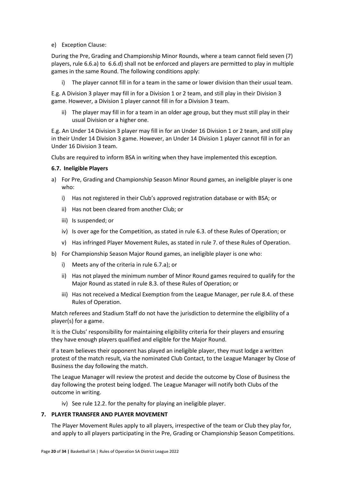e) Exception Clause:

During the Pre, Grading and Championship Minor Rounds, where a team cannot field seven (7) players, rule 6.6.a) to 6.6.d) shall not be enforced and players are permitted to play in multiple games in the same Round. The following conditions apply:

i) The player cannot fill in for a team in the same or lower division than their usual team.

E.g. A Division 3 player may fill in for a Division 1 or 2 team, and still play in their Division 3 game. However, a Division 1 player cannot fill in for a Division 3 team.

ii) The player may fill in for a team in an older age group, but they must still play in their usual Division or a higher one.

E.g. An Under 14 Division 3 player may fill in for an Under 16 Division 1 or 2 team, and still play in their Under 14 Division 3 game. However, an Under 14 Division 1 player cannot fill in for an Under 16 Division 3 team.

Clubs are required to inform BSA in writing when they have implemented this exception.

#### <span id="page-19-0"></span>**6.7. Ineligible Players**

- a) For Pre, Grading and Championship Season Minor Round games, an ineligible player is one who:
	- i) Has not registered in their Club's approved registration database or with BSA; or
	- ii) Has not been cleared from another Club; or
	- iii) Is suspended; or
	- iv) Is over age for the Competition, as stated in rule 6.3. of these Rules of Operation; or
	- v) Has infringed Player Movement Rules, as stated in rule 7. of these Rules of Operation.
- b) For Championship Season Major Round games, an ineligible player is one who:
	- i) Meets any of the criteria in rule 6.7.a); or
	- ii) Has not played the minimum number of Minor Round games required to qualify for the Major Round as stated in rule 8.3. of these Rules of Operation; or
	- iii) Has not received a Medical Exemption from the League Manager, per rule 8.4. of these Rules of Operation.

Match referees and Stadium Staff do not have the jurisdiction to determine the eligibility of a player(s) for a game.

It is the Clubs' responsibility for maintaining eligibility criteria for their players and ensuring they have enough players qualified and eligible for the Major Round.

If a team believes their opponent has played an ineligible player, they must lodge a written protest of the match result, via the nominated Club Contact, to the League Manager by Close of Business the day following the match.

The League Manager will review the protest and decide the outcome by Close of Business the day following the protest being lodged. The League Manager will notify both Clubs of the outcome in writing.

iv) See rule 12.2. for the penalty for playing an ineligible player.

## <span id="page-19-1"></span>**7. PLAYER TRANSFER AND PLAYER MOVEMENT**

The Player Movement Rules apply to all players, irrespective of the team or Club they play for, and apply to all players participating in the Pre, Grading or Championship Season Competitions.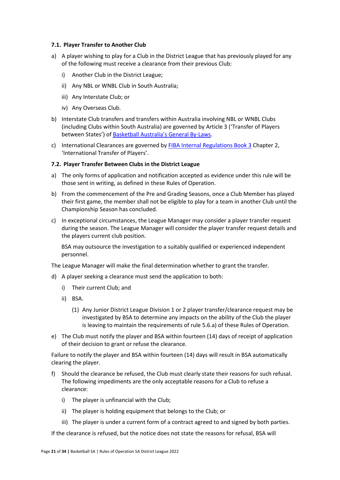#### <span id="page-20-0"></span>**7.1. Player Transfer to Another Club**

- a) A player wishing to play for a Club in the District League that has previously played for any of the following must receive a clearance from their previous Club:
	- i) Another Club in the District League;
	- ii) Any NBL or WNBL Club in South Australia;
	- iii) Any Interstate Club; or
	- iv) Any Overseas Club.
- b) Interstate Club transfers and transfers within Australia involving NBL or WNBL Clubs (including Clubs within South Australia) are governed by Article 3 ('Transfer of Players between States') o[f Basketball Australia](file:///C:/Users/jmcco.JACQUI-SP01.000/AppData/Local/Microsoft/Windows/INetCache/Content.Outlook/105HUZF4/BA%20General%20By-laws.pdf)'s General By-Laws.
- c) International Clearances are governed b[y FIBA Internal Regulations Book 3](file:///C:/Users/jmcco.JACQUI-SP01.000/AppData/Local/Microsoft/Windows/INetCache/Content.Outlook/105HUZF4/FIBA%20Internal%20Regulations%20-%20Book%203%20(rev.%2026%20March%202021)%20clean.pdf) Chapter 2, 'International Transfer of Players'.

#### <span id="page-20-1"></span>**7.2. Player Transfer Between Clubs in the District League**

- a) The only forms of application and notification accepted as evidence under this rule will be those sent in writing, as defined in these Rules of Operation.
- b) From the commencement of the Pre and Grading Seasons, once a Club Member has played their first game, the member shall not be eligible to play for a team in another Club until the Championship Season has concluded.
- c) In exceptional circumstances, the League Manager may consider a player transfer request during the season. The League Manager will consider the player transfer request details and the players current club position.

BSA may outsource the investigation to a suitably qualified or experienced independent personnel.

The League Manager will make the final determination whether to grant the transfer.

- d) A player seeking a clearance must send the application to both:
	- i) Their current Club; and
	- ii) BSA.
		- (1) Any Junior District League Division 1 or 2 player transfer/clearance request may be investigated by BSA to determine any impacts on the ability of the Club the player is leaving to maintain the requirements of rule 5.6.a) of these Rules of Operation.
- e) The Club must notify the player and BSA within fourteen (14) days of receipt of application of their decision to grant or refuse the clearance.

Failure to notify the player and BSA within fourteen (14) days will result in BSA automatically clearing the player.

- f) Should the clearance be refused, the Club must clearly state their reasons for such refusal. The following impediments are the only acceptable reasons for a Club to refuse a clearance:
	- i) The player is unfinancial with the Club;
	- ii) The player is holding equipment that belongs to the Club; or
	- iii) The player is under a current form of a contract agreed to and signed by both parties.

If the clearance is refused, but the notice does not state the reasons for refusal, BSA will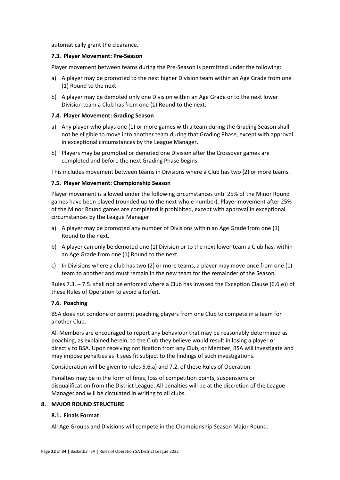automatically grant the clearance.

#### <span id="page-21-0"></span>**7.3. Player Movement: Pre-Season**

Player movement between teams during the Pre-Season is permitted under the following:

- a) A player may be promoted to the next higher Division team within an Age Grade from one (1) Round to the next.
- b) A player may be demoted only one Division within an Age Grade or to the next lower Division team a Club has from one (1) Round to the next.

#### <span id="page-21-1"></span>**7.4. Player Movement: Grading Season**

- a) Any player who plays one (1) or more games with a team during the Grading Season shall not be eligible to move into another team during that Grading Phase, except with approval in exceptional circumstances by the League Manager.
- b) Players may be promoted or demoted one Division after the Crossover games are completed and before the next Grading Phase begins.

This includes movement between teams in Divisions where a Club has two (2) or more teams.

#### <span id="page-21-2"></span>**7.5. Player Movement: Championship Season**

Player movement is allowed under the following circumstances until 25% of the Minor Round games have been played (rounded up to the next whole number). Player movement after 25% of the Minor Round games are completed is prohibited, except with approval in exceptional circumstances by the League Manager.

- a) A player may be promoted any number of Divisions within an Age Grade from one (1) Round to the next.
- b) A player can only be demoted one (1) Division or to the next lower team a Club has, within an Age Grade from one (1) Round to the next.
- c) In Divisions where a club has two (2) or more teams, a player may move once from one (1) team to another and must remain in the new team for the remainder of the Season.

Rules 7.3. – 7.5. shall not be enforced where a Club has invoked the Exception Clause (6.6.e)) of these Rules of Operation to avoid a forfeit.

### <span id="page-21-3"></span>**7.6. Poaching**

BSA does not condone or permit poaching players from one Club to compete in a team for another Club.

All Members are encouraged to report any behaviour that may be reasonably determined as poaching, as explained herein, to the Club they believe would result in losing a player or directly to BSA. Upon receiving notification from any Club, or Member, BSA will investigate and may impose penalties as it sees fit subject to the findings of such investigations.

Consideration will be given to rules 5.6.a) and 7.2. of these Rules of Operation.

Penalties may be in the form of fines, loss of competition points, suspensions or disqualification from the District League. All penalties will be at the discretion of the League Manager and will be circulated in writing to all clubs.

### <span id="page-21-5"></span><span id="page-21-4"></span>**8. MAJOR ROUND STRUCTURE**

#### **8.1. Finals Format**

All Age Groups and Divisions will compete in the Championship Season Major Round.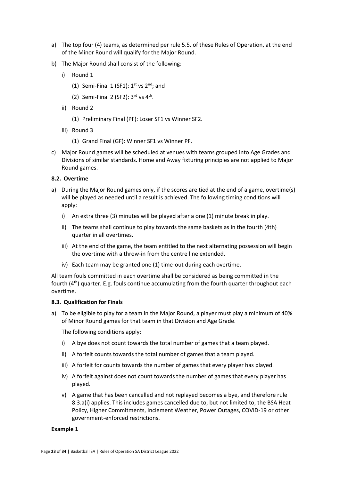- a) The top four (4) teams, as determined per rule 5.5. of these Rules of Operation, at the end of the Minor Round will qualify for the Major Round.
- b) The Major Round shall consist of the following:
	- i) Round 1
		- (1) Semi-Final 1 (SF1):  $1^{st}$  vs  $2^{nd}$ ; and
		- (2) Semi-Final 2 (SF2):  $3<sup>rd</sup>$  vs  $4<sup>th</sup>$ .
	- ii) Round 2
		- (1) Preliminary Final (PF): Loser SF1 vs Winner SF2.
	- iii) Round 3
		- (1) Grand Final (GF): Winner SF1 vs Winner PF.
- c) Major Round games will be scheduled at venues with teams grouped into Age Grades and Divisions of similar standards. Home and Away fixturing principles are not applied to Major Round games.

### <span id="page-22-0"></span>**8.2. Overtime**

- a) During the Major Round games only, if the scores are tied at the end of a game, overtime(s) will be played as needed until a result is achieved. The following timing conditions will apply:
	- i) An extra three (3) minutes will be played after a one (1) minute break in play.
	- ii) The teams shall continue to play towards the same baskets as in the fourth (4th) quarter in all overtimes.
	- iii) At the end of the game, the team entitled to the next alternating possession will begin the overtime with a throw-in from the centre line extended.
	- iv) Each team may be granted one (1) time-out during each overtime.

All team fouls committed in each overtime shall be considered as being committed in the fourth (4<sup>th</sup>) quarter. E.g. fouls continue accumulating from the fourth quarter throughout each overtime.

### <span id="page-22-1"></span>**8.3. Qualification for Finals**

a) To be eligible to play for a team in the Major Round, a player must play a minimum of 40% of Minor Round games for that team in that Division and Age Grade.

The following conditions apply:

- i) A bye does not count towards the total number of games that a team played.
- ii) A forfeit counts towards the total number of games that a team played.
- iii) A forfeit for counts towards the number of games that every player has played.
- iv) A forfeit against does not count towards the number of games that every player has played.
- v) A game that has been cancelled and not replayed becomes a bye, and therefore rule 8.3.a)i) applies. This includes games cancelled due to, but not limited to, the BSA Heat Policy, Higher Commitments, Inclement Weather, Power Outages, COVID-19 or other government-enforced restrictions.

#### **Example 1**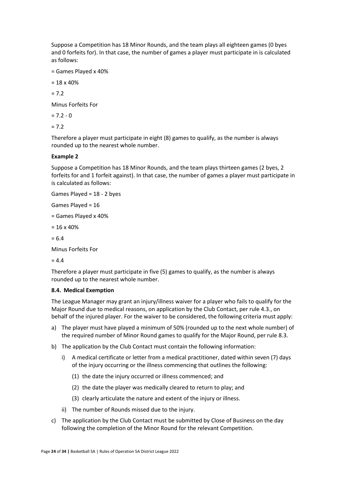Suppose a Competition has 18 Minor Rounds, and the team plays all eighteen games (0 byes and 0 forfeits for). In that case, the number of games a player must participate in is calculated as follows:

= Games Played x 40%

 $= 18 \times 40\%$ 

 $= 7.2$ 

Minus Forfeits For

 $= 7.2 - 0$ 

 $= 7.2$ 

Therefore a player must participate in eight (8) games to qualify, as the number is always rounded up to the nearest whole number.

### **Example 2**

Suppose a Competition has 18 Minor Rounds, and the team plays thirteen games (2 byes, 2 forfeits for and 1 forfeit against). In that case, the number of games a player must participate in is calculated as follows:

Games Played = 18 - 2 byes

Games Played = 16

= Games Played x 40%

 $= 16 \times 40\%$ 

 $= 6.4$ 

Minus Forfeits For

 $= 4.4$ 

Therefore a player must participate in five (5) games to qualify, as the number is always rounded up to the nearest whole number.

### <span id="page-23-0"></span>**8.4. Medical Exemption**

The League Manager may grant an injury/illness waiver for a player who fails to qualify for the Major Round due to medical reasons, on application by the Club Contact, per rule 4.3., on behalf of the injured player. For the waiver to be considered, the following criteria must apply:

- a) The player must have played a minimum of 50% (rounded up to the next whole number) of the required number of Minor Round games to qualify for the Major Round, per rule 8.3.
- b) The application by the Club Contact must contain the following information:
	- i) A medical certificate or letter from a medical practitioner, dated within seven (7) days of the injury occurring or the illness commencing that outlines the following:
		- (1) the date the injury occurred or illness commenced; and
		- (2) the date the player was medically cleared to return to play; and
		- (3) clearly articulate the nature and extent of the injury or illness.
	- ii) The number of Rounds missed due to the injury.
- c) The application by the Club Contact must be submitted by Close of Business on the day following the completion of the Minor Round for the relevant Competition.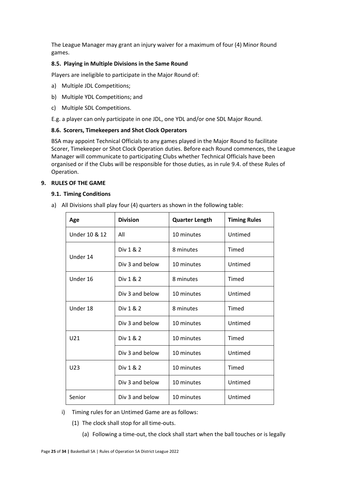The League Manager may grant an injury waiver for a maximum of four (4) Minor Round games.

## <span id="page-24-0"></span>**8.5. Playing in Multiple Divisions in the Same Round**

Players are ineligible to participate in the Major Round of:

- a) Multiple JDL Competitions;
- b) Multiple YDL Competitions; and
- c) Multiple SDL Competitions.

E.g. a player can only participate in one JDL, one YDL and/or one SDL Major Round.

### <span id="page-24-1"></span>**8.6. Scorers, Timekeepers and Shot Clock Operators**

BSA may appoint Technical Officials to any games played in the Major Round to facilitate Scorer, Timekeeper or Shot Clock Operation duties. Before each Round commences, the League Manager will communicate to participating Clubs whether Technical Officials have been organised or if the Clubs will be responsible for those duties, as in rule 9.4. of these Rules of Operation.

### <span id="page-24-3"></span><span id="page-24-2"></span>**9. RULES OF THE GAME**

#### **9.1. Timing Conditions**

a) All Divisions shall play four (4) quarters as shown in the following table:

| Age             | <b>Division</b> | <b>Quarter Length</b> | <b>Timing Rules</b> |
|-----------------|-----------------|-----------------------|---------------------|
| Under 10 & 12   | All             | 10 minutes            | Untimed             |
| Under 14        | Div 1 & 2       | 8 minutes             | Timed               |
|                 | Div 3 and below | 10 minutes            | Untimed             |
| Under 16        | Div 1 & 2       | 8 minutes             | Timed               |
|                 | Div 3 and below | 10 minutes            | Untimed             |
| Under 18        | Div 1 & 2       | 8 minutes             | Timed               |
|                 | Div 3 and below | 10 minutes            | Untimed             |
| U21             | Div 1 & 2       | 10 minutes            | Timed               |
|                 | Div 3 and below | 10 minutes            | Untimed             |
| U <sub>23</sub> | Div 1 & 2       | 10 minutes            | Timed               |
|                 | Div 3 and below | 10 minutes            | Untimed             |
| Senior          | Div 3 and below | 10 minutes            | Untimed             |

- i) Timing rules for an Untimed Game are as follows:
	- (1) The clock shall stop for all time-outs.
		- (a) Following a time-out, the clock shall start when the ball touches or is legally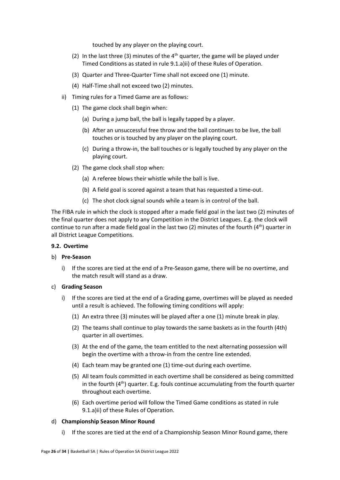touched by any player on the playing court.

- (2) In the last three (3) minutes of the  $4<sup>th</sup>$  quarter, the game will be played under Timed Conditions as stated in rule 9.1.a)ii) of these Rules of Operation.
- (3) Quarter and Three-Quarter Time shall not exceed one (1) minute.
- (4) Half-Time shall not exceed two (2) minutes.
- ii) Timing rules for a Timed Game are as follows:
	- (1) The game clock shall begin when:
		- (a) During a jump ball, the ball is legally tapped by a player.
		- (b) After an unsuccessful free throw and the ball continues to be live, the ball touches or is touched by any player on the playing court.
		- (c) During a throw-in, the ball touches or is legally touched by any player on the playing court.
	- (2) The game clock shall stop when:
		- (a) A referee blows their whistle while the ball is live.
		- (b) A field goal is scored against a team that has requested a time-out.
		- (c) The shot clock signal sounds while a team is in control of the ball.

The FIBA rule in which the clock is stopped after a made field goal in the last two (2) minutes of the final quarter does not apply to any Competition in the District Leagues. E.g. the clock will continue to run after a made field goal in the last two (2) minutes of the fourth (4<sup>th</sup>) quarter in all District League Competitions.

### <span id="page-25-0"></span>**9.2. Overtime**

### b) **Pre-Season**

i) If the scores are tied at the end of a Pre-Season game, there will be no overtime, and the match result will stand as a draw.

### c) **Grading Season**

- i) If the scores are tied at the end of a Grading game, overtimes will be played as needed until a result is achieved. The following timing conditions will apply:
	- (1) An extra three (3) minutes will be played after a one (1) minute break in play.
	- (2) The teams shall continue to play towards the same baskets as in the fourth (4th) quarter in all overtimes.
	- (3) At the end of the game, the team entitled to the next alternating possession will begin the overtime with a throw-in from the centre line extended.
	- (4) Each team may be granted one (1) time-out during each overtime.
	- (5) All team fouls committed in each overtime shall be considered as being committed in the fourth  $(4<sup>th</sup>)$  quarter. E.g. fouls continue accumulating from the fourth quarter throughout each overtime.
	- (6) Each overtime period will follow the Timed Game conditions as stated in rule 9.1.a)ii) of these Rules of Operation.

### d) **Championship Season Minor Round**

i) If the scores are tied at the end of a Championship Season Minor Round game, there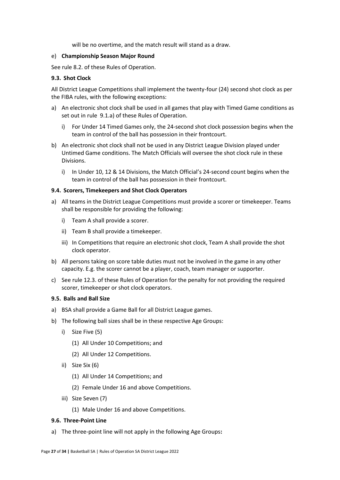will be no overtime, and the match result will stand as a draw.

#### e) **Championship Season Major Round**

See rule 8.2. of these Rules of Operation.

### <span id="page-26-0"></span>**9.3. Shot Clock**

All District League Competitions shall implement the twenty-four (24) second shot clock as per the FIBA rules, with the following exceptions:

- a) An electronic shot clock shall be used in all games that play with Timed Game conditions as set out in rule 9.1.a) of these Rules of Operation.
	- i) For Under 14 Timed Games only, the 24-second shot clock possession begins when the team in control of the ball has possession in their frontcourt.
- b) An electronic shot clock shall not be used in any District League Division played under Untimed Game conditions. The Match Officials will oversee the shot clock rule in these Divisions.
	- i) In Under 10, 12 & 14 Divisions, the Match Official's 24-second count begins when the team in control of the ball has possession in their frontcourt.

### <span id="page-26-1"></span>**9.4. Scorers, Timekeepers and Shot Clock Operators**

- a) All teams in the District League Competitions must provide a scorer or timekeeper. Teams shall be responsible for providing the following:
	- i) Team A shall provide a scorer.
	- ii) Team B shall provide a timekeeper.
	- iii) In Competitions that require an electronic shot clock, Team A shall provide the shot clock operator.
- b) All persons taking on score table duties must not be involved in the game in any other capacity. E.g. the scorer cannot be a player, coach, team manager or supporter.
- c) See rule 12.3. of these Rules of Operation for the penalty for not providing the required scorer, timekeeper or shot clock operators.

#### <span id="page-26-2"></span>**9.5. Balls and Ball Size**

- a) BSA shall provide a Game Ball for all District League games.
- b) The following ball sizes shall be in these respective Age Groups:
	- i) Size Five (5)
		- (1) All Under 10 Competitions; and
		- (2) All Under 12 Competitions.
	- ii) Size Six (6)
		- (1) All Under 14 Competitions; and
		- (2) Female Under 16 and above Competitions.
	- iii) Size Seven (7)
		- (1) Male Under 16 and above Competitions.

#### <span id="page-26-3"></span>**9.6. Three-Point Line**

a) The three-point line will not apply in the following Age Groups**:**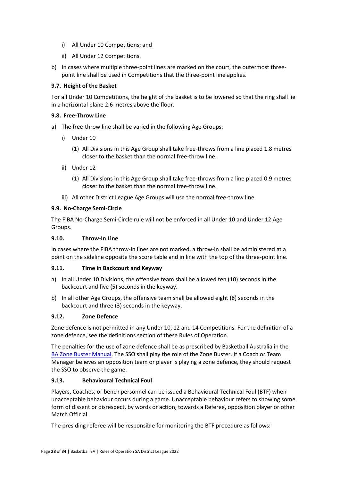- i) All Under 10 Competitions; and
- ii) All Under 12 Competitions.
- b) In cases where multiple three-point lines are marked on the court, the outermost threepoint line shall be used in Competitions that the three-point line applies.

## <span id="page-27-0"></span>**9.7. Height of the Basket**

For all Under 10 Competitions, the height of the basket is to be lowered so that the ring shall lie in a horizontal plane 2.6 metres above the floor.

## <span id="page-27-1"></span>**9.8. Free-Throw Line**

- a) The free-throw line shall be varied in the following Age Groups:
	- i) Under 10
		- (1) All Divisions in this Age Group shall take free-throws from a line placed 1.8 metres closer to the basket than the normal free-throw line.
	- ii) Under 12
		- (1) All Divisions in this Age Group shall take free-throws from a line placed 0.9 metres closer to the basket than the normal free-throw line.
	- iii) All other District League Age Groups will use the normal free-throw line.

## <span id="page-27-2"></span>**9.9. No-Charge Semi-Circle**

The FIBA No-Charge Semi-Circle rule will not be enforced in all Under 10 and Under 12 Age Groups.

## <span id="page-27-3"></span>**9.10. Throw-In Line**

In cases where the FIBA throw-in lines are not marked, a throw-in shall be administered at a point on the sideline opposite the score table and in line with the top of the three-point line.

## <span id="page-27-4"></span>**9.11. Time in Backcourt and Keyway**

- a) In all Under 10 Divisions, the offensive team shall be allowed ten (10) seconds in the backcourt and five (5) seconds in the keyway.
- b) In all other Age Groups, the offensive team shall be allowed eight (8) seconds in the backcourt and three (3) seconds in the keyway.

## <span id="page-27-5"></span>**9.12. Zone Defence**

Zone defence is not permitted in any Under 10, 12 and 14 Competitions. For the definition of a zone defence, see the definitions section of these Rules of Operation.

The penalties for the use of zone defence shall be as prescribed by Basketball Australia in the [BA Zone Buster Manual.](https://basketballsouthaustralia-my.sharepoint.com/personal/tmitchell_bsaapps_com_au/Documents/Documents/BSA/Comps/By-Laws/BA%20Zone%20Buster%20Manual.pdf) The SSO shall play the role of the Zone Buster. If a Coach or Team Manager believes an opposition team or player is playing a zone defence, they should request the SSO to observe the game.

## <span id="page-27-6"></span>**9.13. Behavioural Technical Foul**

Players, Coaches, or bench personnel can be issued a Behavioural Technical Foul (BTF) when unacceptable behaviour occurs during a game. Unacceptable behaviour refers to showing some form of dissent or disrespect, by words or action, towards a Referee, opposition player or other Match Official.

The presiding referee will be responsible for monitoring the BTF procedure as follows: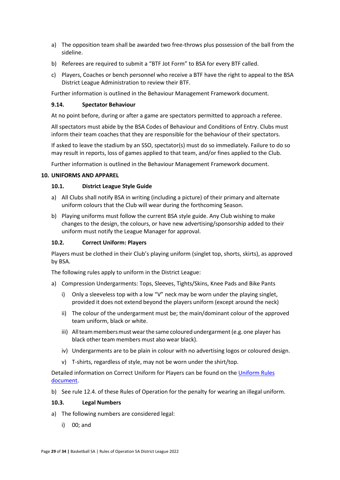- a) The opposition team shall be awarded two free-throws plus possession of the ball from the sideline.
- b) Referees are required to submit a "BTF Jot Form" to BSA for every BTF called.
- c) Players, Coaches or bench personnel who receive a BTF have the right to appeal to the BSA District League Administration to review their BTF.

Further information is outlined in the Behaviour Management Framework document.

## <span id="page-28-0"></span>**9.14. Spectator Behaviour**

At no point before, during or after a game are spectators permitted to approach a referee.

All spectators must abide by the BSA Codes of Behaviour and Conditions of Entry. Clubs must inform their team coaches that they are responsible for the behaviour of their spectators.

If asked to leave the stadium by an SSO, spectator(s) must do so immediately. Failure to do so may result in reports, loss of games applied to that team, and/or fines applied to the Club.

Further information is outlined in the Behaviour Management Framework document.

## <span id="page-28-2"></span><span id="page-28-1"></span>**10. UNIFORMS AND APPAREL**

## **10.1. District League Style Guide**

- a) All Clubs shall notify BSA in writing (including a picture) of their primary and alternate uniform colours that the Club will wear during the forthcoming Season.
- b) Playing uniforms must follow the current BSA style guide. Any Club wishing to make changes to the design, the colours, or have new advertising/sponsorship added to their uniform must notify the League Manager for approval.

## <span id="page-28-3"></span>**10.2. Correct Uniform: Players**

Players must be clothed in their Club's playing uniform (singlet top, shorts, skirts), as approved by BSA.

The following rules apply to uniform in the District League:

- a) Compression Undergarments: Tops, Sleeves, Tights/Skins, Knee Pads and Bike Pants
	- i) Only a sleeveless top with a low "V" neck may be worn under the playing singlet, provided it does not extend beyond the players uniform (except around the neck)
	- ii) The colour of the undergarment must be; the main/dominant colour of the approved team uniform, black or white.
	- iii) All team members must wear the same coloured undergarment (e.g. one player has black other team members must also wear black).
	- iv) Undergarments are to be plain in colour with no advertising logos or coloured design.
	- v) T-shirts, regardless of style, may not be worn under the shirt/top.

Detailed information on Correct Uniform for Players can be found on the [Uniform Rules](file:///C:/Users/Tom/Downloads/Uniform%20Rules%20-%20Players.pdf)  [document.](file:///C:/Users/Tom/Downloads/Uniform%20Rules%20-%20Players.pdf)

b) See rule 12.4. of these Rules of Operation for the penalty for wearing an illegal uniform.

### <span id="page-28-4"></span>**10.3. Legal Numbers**

- a) The following numbers are considered legal:
	- i) 00; and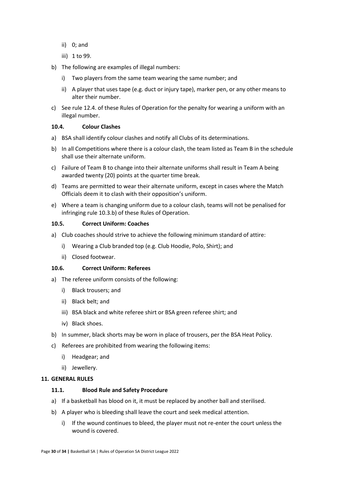- ii) 0; and
- iii) 1 to 99.
- b) The following are examples of illegal numbers:
	- i) Two players from the same team wearing the same number; and
	- ii) A player that uses tape (e.g. duct or injury tape), marker pen, or any other means to alter their number.
- c) See rule 12.4. of these Rules of Operation for the penalty for wearing a uniform with an illegal number.

#### <span id="page-29-0"></span>**10.4. Colour Clashes**

- a) BSA shall identify colour clashes and notify all Clubs of its determinations.
- b) In all Competitions where there is a colour clash, the team listed as Team B in the schedule shall use their alternate uniform.
- c) Failure of Team B to change into their alternate uniforms shall result in Team A being awarded twenty (20) points at the quarter time break.
- d) Teams are permitted to wear their alternate uniform, except in cases where the Match Officials deem it to clash with their opposition's uniform.
- e) Where a team is changing uniform due to a colour clash, teams will not be penalised for infringing rule 10.3.b) of these Rules of Operation.

#### <span id="page-29-1"></span>**10.5. Correct Uniform: Coaches**

- a) Club coaches should strive to achieve the following minimum standard of attire:
	- i) Wearing a Club branded top (e.g. Club Hoodie, Polo, Shirt); and
	- ii) Closed footwear.

## <span id="page-29-2"></span>**10.6. Correct Uniform: Referees**

- a) The referee uniform consists of the following:
	- i) Black trousers; and
	- ii) Black belt; and
	- iii) BSA black and white referee shirt or BSA green referee shirt; and
	- iv) Black shoes.
- b) In summer, black shorts may be worn in place of trousers, per the BSA Heat Policy.
- c) Referees are prohibited from wearing the following items:
	- i) Headgear; and
	- ii) Jewellery.

#### <span id="page-29-4"></span><span id="page-29-3"></span>**11. GENERAL RULES**

#### **11.1. Blood Rule and Safety Procedure**

- a) If a basketball has blood on it, it must be replaced by another ball and sterilised.
- b) A player who is bleeding shall leave the court and seek medical attention.
	- i) If the wound continues to bleed, the player must not re-enter the court unless the wound is covered.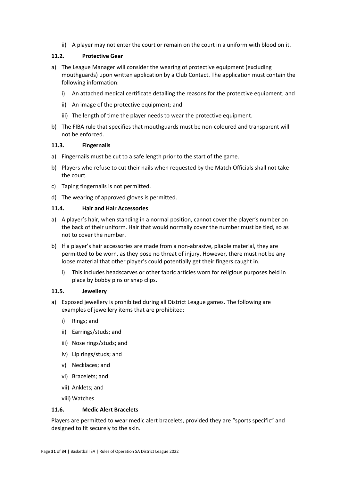ii) A player may not enter the court or remain on the court in a uniform with blood on it.

## <span id="page-30-0"></span>**11.2. Protective Gear**

- a) The League Manager will consider the wearing of protective equipment (excluding mouthguards) upon written application by a Club Contact. The application must contain the following information:
	- i) An attached medical certificate detailing the reasons for the protective equipment; and
	- ii) An image of the protective equipment; and
	- iii) The length of time the player needs to wear the protective equipment.
- b) The FIBA rule that specifies that mouthguards must be non-coloured and transparent will not be enforced.

### <span id="page-30-1"></span>**11.3. Fingernails**

- a) Fingernails must be cut to a safe length prior to the start of the game.
- b) Players who refuse to cut their nails when requested by the Match Officials shall not take the court.
- c) Taping fingernails is not permitted.
- d) The wearing of approved gloves is permitted.

## <span id="page-30-2"></span>**11.4. Hair and Hair Accessories**

- a) A player's hair, when standing in a normal position, cannot cover the player's number on the back of their uniform. Hair that would normally cover the number must be tied, so as not to cover the number.
- b) If a player's hair accessories are made from a non-abrasive, pliable material, they are permitted to be worn, as they pose no threat of injury. However, there must not be any loose material that other player's could potentially get their fingers caught in.
	- i) This includes headscarves or other fabric articles worn for religious purposes held in place by bobby pins or snap clips.

### <span id="page-30-3"></span>**11.5. Jewellery**

- a) Exposed jewellery is prohibited during all District League games. The following are examples of jewellery items that are prohibited:
	- i) Rings; and
	- ii) Earrings/studs; and
	- iii) Nose rings/studs; and
	- iv) Lip rings/studs; and
	- v) Necklaces; and
	- vi) Bracelets; and
	- vii) Anklets; and

viii) Watches.

### <span id="page-30-4"></span>**11.6. Medic Alert Bracelets**

Players are permitted to wear medic alert bracelets, provided they are "sports specific" and designed to fit securely to the skin.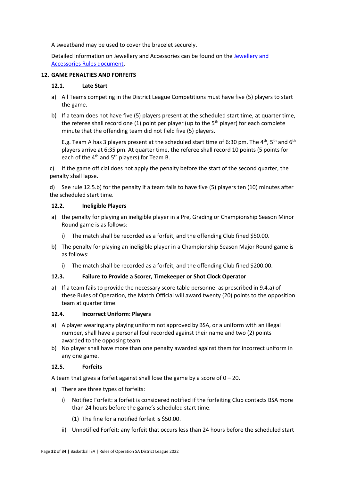A sweatband may be used to cover the bracelet securely.

Detailed information on Jewellery and Accessories can be found on th[e Jewellery and](file:///C:/Users/Tom/Downloads/Jewellery%20&%20Accessory%20Rules.pdf)  [Accessories Rules document.](file:///C:/Users/Tom/Downloads/Jewellery%20&%20Accessory%20Rules.pdf)

#### <span id="page-31-1"></span><span id="page-31-0"></span>**12. GAME PENALTIES AND FORFEITS**

#### **12.1. Late Start**

- a) All Teams competing in the District League Competitions must have five (5) players to start the game.
- b) If a team does not have five (5) players present at the scheduled start time, at quarter time, the referee shall record one (1) point per player (up to the  $5<sup>th</sup>$  player) for each complete minute that the offending team did not field five (5) players.

E.g. Team A has 3 players present at the scheduled start time of 6:30 pm. The  $4<sup>th</sup>$ , 5<sup>th</sup> and 6<sup>th</sup> players arrive at 6:35 pm. At quarter time, the referee shall record 10 points (5 points for each of the  $4<sup>th</sup>$  and  $5<sup>th</sup>$  players) for Team B.

c) If the game official does not apply the penalty before the start of the second quarter, the penalty shall lapse.

d) See rule 12.5.b) for the penalty if a team fails to have five (5) players ten (10) minutes after the scheduled start time.

### <span id="page-31-2"></span>**12.2. Ineligible Players**

- a) the penalty for playing an ineligible player in a Pre, Grading or Championship Season Minor Round game is as follows:
	- i) The match shall be recorded as a forfeit, and the offending Club fined \$50.00.
- b) The penalty for playing an ineligible player in a Championship Season Major Round game is as follows:
	- i) The match shall be recorded as a forfeit, and the offending Club fined \$200.00.

### <span id="page-31-3"></span>**12.3. Failure to Provide a Scorer, Timekeeper or Shot Clock Operator**

a) If a team fails to provide the necessary score table personnel as prescribed in 9.4.a) of these Rules of Operation, the Match Official will award twenty (20) points to the opposition team at quarter time.

### <span id="page-31-4"></span>**12.4. Incorrect Uniform: Players**

- a) A player wearing any playing uniform not approved by BSA, or a uniform with an illegal number, shall have a personal foul recorded against their name and two (2) points awarded to the opposing team.
- b) No player shall have more than one penalty awarded against them for incorrect uniform in any one game.

### <span id="page-31-5"></span>**12.5. Forfeits**

A team that gives a forfeit against shall lose the game by a score of  $0 - 20$ .

- a) There are three types of forfeits:
	- i) Notified Forfeit: a forfeit is considered notified if the forfeiting Club contacts BSA more than 24 hours before the game's scheduled start time.
		- (1) The fine for a notified forfeit is \$50.00.
	- ii) Unnotified Forfeit: any forfeit that occurs less than 24 hours before the scheduled start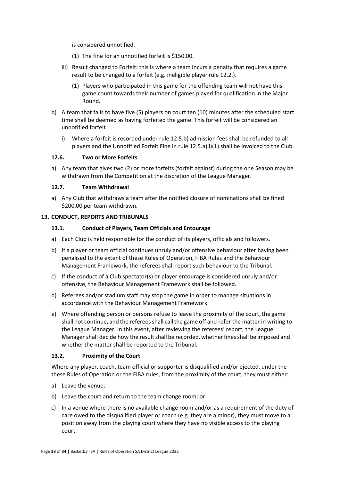is considered unnotified.

- (1) The fine for an unnotified forfeit is \$150.00.
- iii) Result changed to Forfeit: this is where a team incurs a penalty that requires a game result to be changed to a forfeit (e.g. ineligible player rule 12.2.).
	- (1) Players who participated in this game for the offending team will not have this game count towards their number of games played for qualification in the Major Round.
- b) A team that fails to have five (5) players on court ten (10) minutes after the scheduled start time shall be deemed as having forfeited the game. This forfeit will be considered an unnotified forfeit.
	- i) Where a forfeit is recorded under rule 12.5.b) admission fees shall be refunded to all players and the Unnotified Forfeit Fine in rule 12.5.a)ii)(1) shall be invoiced to the Club.

### <span id="page-32-0"></span>**12.6. Two or More Forfeits**

a) Any team that gives two (2) or more forfeits (forfeit against) during the one Season may be withdrawn from the Competition at the discretion of the League Manager.

#### <span id="page-32-1"></span>**12.7. Team Withdrawal**

a) Any Club that withdraws a team after the notified closure of nominations shall be fined \$200.00 per team withdrawn.

#### <span id="page-32-3"></span><span id="page-32-2"></span>**13. CONDUCT, REPORTS AND TRIBUNALS**

#### **13.1. Conduct of Players, Team Officials and Entourage**

- a) Each Club is held responsible for the conduct of its players, officials and followers.
- b) If a player or team official continues unruly and/or offensive behaviour after having been penalised to the extent of these Rules of Operation, FIBA Rules and the Behaviour Management Framework, the referees shall report such behaviour to the Tribunal.
- c) If the conduct of a Club spectator(s) or player entourage is considered unruly and/or offensive, the Behaviour Management Framework shall be followed.
- d) Referees and/or stadium staff may stop the game in order to manage situations in accordance with the Behaviour Management Framework.
- e) Where offending person or persons refuse to leave the proximity of the court, the game shall not continue, and the referees shall call the game off and refer the matter in writing to the League Manager. In this event, after reviewing the referees' report, the League Manager shall decide how the result shall be recorded, whether fines shall be imposed and whether the matter shall be reported to the Tribunal.

### <span id="page-32-4"></span>**13.2. Proximity of the Court**

Where any player, coach, team official or supporter is disqualified and/or ejected, under the these Rules of Operation or the FIBA rules, from the proximity of the court, they must either:

- a) Leave the venue;
- b) Leave the court and return to the team change room; or
- c) In a venue where there is no available change room and/or as a requirement of the duty of care owed to the disqualified player or coach (e.g. they are a minor), they must move to a position away from the playing court where they have no visible access to the playing court.